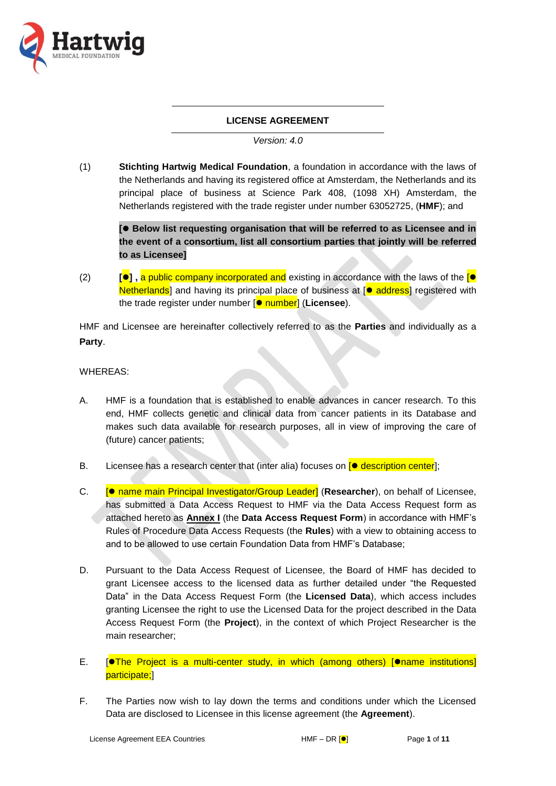

# **LICENSE AGREEMENT**

*Version: 4.0*

(1) **Stichting Hartwig Medical Foundation**, a foundation in accordance with the laws of the Netherlands and having its registered office at Amsterdam, the Netherlands and its principal place of business at Science Park 408, (1098 XH) Amsterdam, the Netherlands registered with the trade register under number 63052725, (**HMF**); and

**[ Below list requesting organisation that will be referred to as Licensee and in the event of a consortium, list all consortium parties that jointly will be referred to as Licensee]**

(2) **[] ,** a public company incorporated and existing in accordance with the laws of the [ Netherlands] and having its principal place of business at  $[•]$  address] registered with the trade register under number [ $\bullet$  number] (**Licensee**).

HMF and Licensee are hereinafter collectively referred to as the **Parties** and individually as a **Party**.

WHEREAS:

- A. HMF is a foundation that is established to enable advances in cancer research. To this end, HMF collects genetic and clinical data from cancer patients in its Database and makes such data available for research purposes, all in view of improving the care of (future) cancer patients;
- B. Licensee has a research center that (inter alia) focuses on  $\lceil \bullet \text{ description center} \rceil$ ;
- C. **[● name main Principal Investigator/Group Leader] (Researcher)**, on behalf of Licensee, has submitted a Data Access Request to HMF via the Data Access Request form as attached hereto as **Annex I** (the **Data Access Request Form**) in accordance with HMF's Rules of Procedure Data Access Requests (the **Rules**) with a view to obtaining access to and to be allowed to use certain Foundation Data from HMF's Database;
- D. Pursuant to the Data Access Request of Licensee, the Board of HMF has decided to grant Licensee access to the licensed data as further detailed under "the Requested Data" in the Data Access Request Form (the **Licensed Data**), which access includes granting Licensee the right to use the Licensed Data for the project described in the Data Access Request Form (the **Project**), in the context of which Project Researcher is the main researcher;
- E.  $\sqrt{\frac{1}{n}}$  **Frollect is a multi-center study, in which (among others)**  $\sqrt{\frac{1}{n}}$  institutions participate;]
- F. The Parties now wish to lay down the terms and conditions under which the Licensed Data are disclosed to Licensee in this license agreement (the **Agreement**).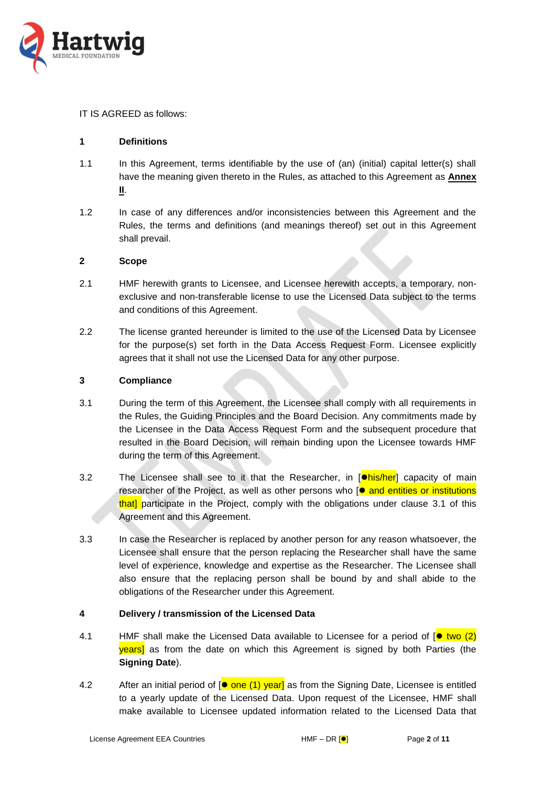

### IT IS AGREED as follows:

## **1 Definitions**

- 1.1 In this Agreement, terms identifiable by the use of (an) (initial) capital letter(s) shall have the meaning given thereto in the Rules, as attached to this Agreement as **Annex II**.
- 1.2 In case of any differences and/or inconsistencies between this Agreement and the Rules, the terms and definitions (and meanings thereof) set out in this Agreement shall prevail.

## **2 Scope**

- 2.1 HMF herewith grants to Licensee, and Licensee herewith accepts, a temporary, nonexclusive and non-transferable license to use the Licensed Data subject to the terms and conditions of this Agreement.
- 2.2 The license granted hereunder is limited to the use of the Licensed Data by Licensee for the purpose(s) set forth in the Data Access Request Form. Licensee explicitly agrees that it shall not use the Licensed Data for any other purpose.

## **3 Compliance**

- <span id="page-1-0"></span>3.1 During the term of this Agreement, the Licensee shall comply with all requirements in the Rules, the Guiding Principles and the Board Decision. Any commitments made by the Licensee in the Data Access Request Form and the subsequent procedure that resulted in the Board Decision, will remain binding upon the Licensee towards HMF during the term of this Agreement.
- <span id="page-1-2"></span>3.2 The Licensee shall see to it that the Researcher, in  $\Box$  is  $\Box$  and  $\Box$  and  $\Box$  capacity of main researcher of the Project, as well as other persons who  $[•]$  and entities or institutions that] participate in the Project, comply with the obligations under clause [3.1](#page-1-0) of this Agreement and this Agreement.
- 3.3 In case the Researcher is replaced by another person for any reason whatsoever, the Licensee shall ensure that the person replacing the Researcher shall have the same level of experience, knowledge and expertise as the Researcher. The Licensee shall also ensure that the replacing person shall be bound by and shall abide to the obligations of the Researcher under this Agreement.

### <span id="page-1-3"></span>**4 Delivery / transmission of the Licensed Data**

- <span id="page-1-1"></span>4.1 HMF shall make the Licensed Data available to Licensee for a period of  $\phi$  two (2) **years** as from the date on which this Agreement is signed by both Parties (the **Signing Date**).
- 4.2 After an initial period of  $\phi$  one (1) year] as from the Signing Date, Licensee is entitled to a yearly update of the Licensed Data. Upon request of the Licensee, HMF shall make available to Licensee updated information related to the Licensed Data that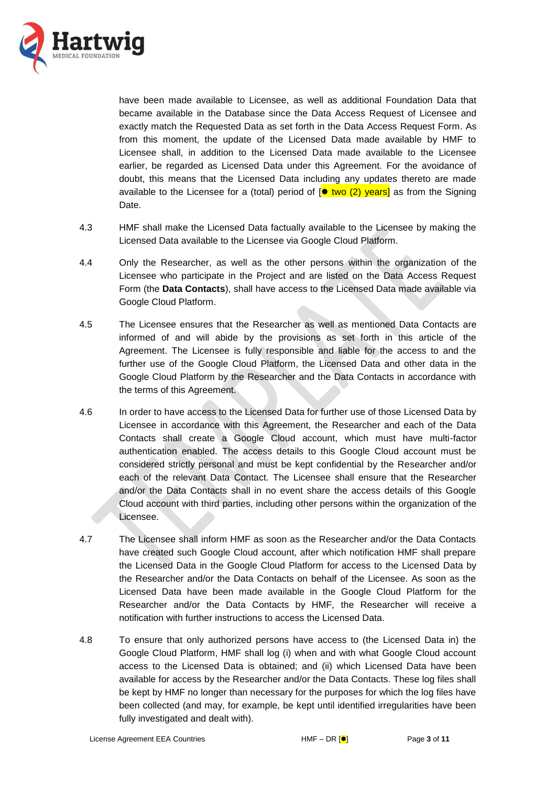

have been made available to Licensee, as well as additional Foundation Data that became available in the Database since the Data Access Request of Licensee and exactly match the Requested Data as set forth in the Data Access Request Form. As from this moment, the update of the Licensed Data made available by HMF to Licensee shall, in addition to the Licensed Data made available to the Licensee earlier, be regarded as Licensed Data under this Agreement. For the avoidance of doubt, this means that the Licensed Data including any updates thereto are made available to the Licensee for a (total) period of  $\lceil \bullet \text{ two (2) years} \rceil$  as from the Signing Date.

- 4.3 HMF shall make the Licensed Data factually available to the Licensee by making the Licensed Data available to the Licensee via Google Cloud Platform.
- 4.4 Only the Researcher, as well as the other persons within the organization of the Licensee who participate in the Project and are listed on the Data Access Request Form (the **Data Contacts**), shall have access to the Licensed Data made available via Google Cloud Platform.
- 4.5 The Licensee ensures that the Researcher as well as mentioned Data Contacts are informed of and will abide by the provisions as set forth in this article of the Agreement. The Licensee is fully responsible and liable for the access to and the further use of the Google Cloud Platform, the Licensed Data and other data in the Google Cloud Platform by the Researcher and the Data Contacts in accordance with the terms of this Agreement.
- 4.6 In order to have access to the Licensed Data for further use of those Licensed Data by Licensee in accordance with this Agreement, the Researcher and each of the Data Contacts shall create a Google Cloud account, which must have multi-factor authentication enabled. The access details to this Google Cloud account must be considered strictly personal and must be kept confidential by the Researcher and/or each of the relevant Data Contact. The Licensee shall ensure that the Researcher and/or the Data Contacts shall in no event share the access details of this Google Cloud account with third parties, including other persons within the organization of the Licensee.
- 4.7 The Licensee shall inform HMF as soon as the Researcher and/or the Data Contacts have created such Google Cloud account, after which notification HMF shall prepare the Licensed Data in the Google Cloud Platform for access to the Licensed Data by the Researcher and/or the Data Contacts on behalf of the Licensee. As soon as the Licensed Data have been made available in the Google Cloud Platform for the Researcher and/or the Data Contacts by HMF, the Researcher will receive a notification with further instructions to access the Licensed Data.
- 4.8 To ensure that only authorized persons have access to (the Licensed Data in) the Google Cloud Platform, HMF shall log (i) when and with what Google Cloud account access to the Licensed Data is obtained; and (ii) which Licensed Data have been available for access by the Researcher and/or the Data Contacts. These log files shall be kept by HMF no longer than necessary for the purposes for which the log files have been collected (and may, for example, be kept until identified irregularities have been fully investigated and dealt with).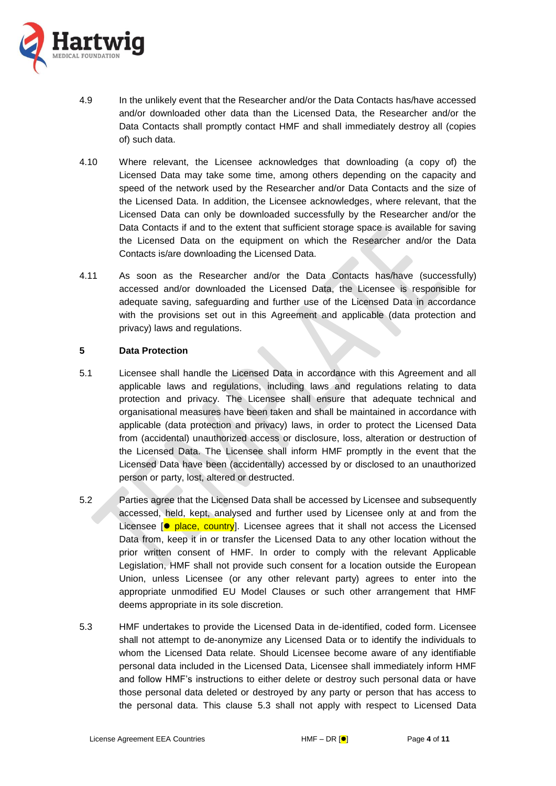

- 4.9 In the unlikely event that the Researcher and/or the Data Contacts has/have accessed and/or downloaded other data than the Licensed Data, the Researcher and/or the Data Contacts shall promptly contact HMF and shall immediately destroy all (copies of) such data.
- 4.10 Where relevant, the Licensee acknowledges that downloading (a copy of) the Licensed Data may take some time, among others depending on the capacity and speed of the network used by the Researcher and/or Data Contacts and the size of the Licensed Data. In addition, the Licensee acknowledges, where relevant, that the Licensed Data can only be downloaded successfully by the Researcher and/or the Data Contacts if and to the extent that sufficient storage space is available for saving the Licensed Data on the equipment on which the Researcher and/or the Data Contacts is/are downloading the Licensed Data.
- 4.11 As soon as the Researcher and/or the Data Contacts has/have (successfully) accessed and/or downloaded the Licensed Data, the Licensee is responsible for adequate saving, safeguarding and further use of the Licensed Data in accordance with the provisions set out in this Agreement and applicable (data protection and privacy) laws and regulations.

## **5 Data Protection**

- 5.1 Licensee shall handle the Licensed Data in accordance with this Agreement and all applicable laws and regulations, including laws and regulations relating to data protection and privacy. The Licensee shall ensure that adequate technical and organisational measures have been taken and shall be maintained in accordance with applicable (data protection and privacy) laws, in order to protect the Licensed Data from (accidental) unauthorized access or disclosure, loss, alteration or destruction of the Licensed Data. The Licensee shall inform HMF promptly in the event that the Licensed Data have been (accidentally) accessed by or disclosed to an unauthorized person or party, lost, altered or destructed.
- 5.2 Parties agree that the Licensed Data shall be accessed by Licensee and subsequently accessed, held, kept, analysed and further used by Licensee only at and from the Licensee  $\bullet$  place, country]. Licensee agrees that it shall not access the Licensed Data from, keep it in or transfer the Licensed Data to any other location without the prior written consent of HMF. In order to comply with the relevant Applicable Legislation, HMF shall not provide such consent for a location outside the European Union, unless Licensee (or any other relevant party) agrees to enter into the appropriate unmodified EU Model Clauses or such other arrangement that HMF deems appropriate in its sole discretion.
- <span id="page-3-0"></span>5.3 HMF undertakes to provide the Licensed Data in de-identified, coded form. Licensee shall not attempt to de-anonymize any Licensed Data or to identify the individuals to whom the Licensed Data relate. Should Licensee become aware of any identifiable personal data included in the Licensed Data, Licensee shall immediately inform HMF and follow HMF's instructions to either delete or destroy such personal data or have those personal data deleted or destroyed by any party or person that has access to the personal data. This clause [5.3](#page-3-0) shall not apply with respect to Licensed Data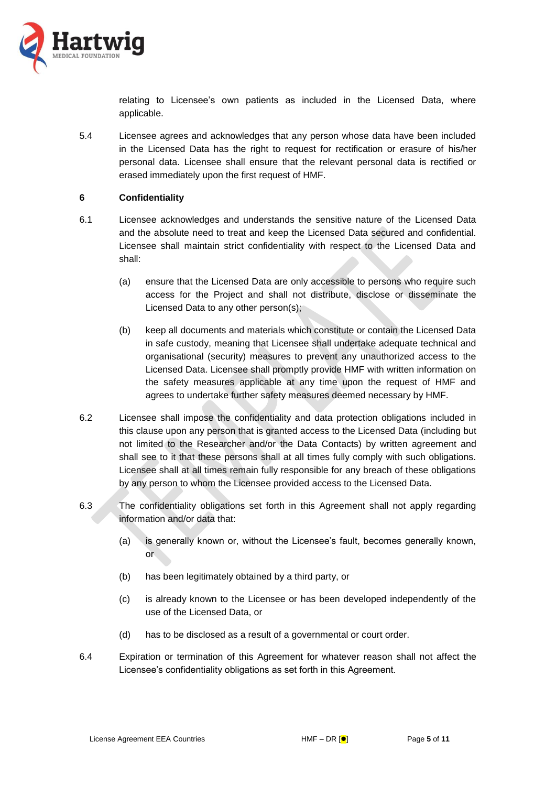

relating to Licensee's own patients as included in the Licensed Data, where applicable.

5.4 Licensee agrees and acknowledges that any person whose data have been included in the Licensed Data has the right to request for rectification or erasure of his/her personal data. Licensee shall ensure that the relevant personal data is rectified or erased immediately upon the first request of HMF.

## <span id="page-4-0"></span>**6 Confidentiality**

- 6.1 Licensee acknowledges and understands the sensitive nature of the Licensed Data and the absolute need to treat and keep the Licensed Data secured and confidential. Licensee shall maintain strict confidentiality with respect to the Licensed Data and shall:
	- (a) ensure that the Licensed Data are only accessible to persons who require such access for the Project and shall not distribute, disclose or disseminate the Licensed Data to any other person(s);
	- (b) keep all documents and materials which constitute or contain the Licensed Data in safe custody, meaning that Licensee shall undertake adequate technical and organisational (security) measures to prevent any unauthorized access to the Licensed Data. Licensee shall promptly provide HMF with written information on the safety measures applicable at any time upon the request of HMF and agrees to undertake further safety measures deemed necessary by HMF.
- 6.2 Licensee shall impose the confidentiality and data protection obligations included in this clause upon any person that is granted access to the Licensed Data (including but not limited to the Researcher and/or the Data Contacts) by written agreement and shall see to it that these persons shall at all times fully comply with such obligations. Licensee shall at all times remain fully responsible for any breach of these obligations by any person to whom the Licensee provided access to the Licensed Data.
- 6.3 The confidentiality obligations set forth in this Agreement shall not apply regarding information and/or data that:
	- (a) is generally known or, without the Licensee's fault, becomes generally known, or
	- (b) has been legitimately obtained by a third party, or
	- (c) is already known to the Licensee or has been developed independently of the use of the Licensed Data, or
	- (d) has to be disclosed as a result of a governmental or court order.
- 6.4 Expiration or termination of this Agreement for whatever reason shall not affect the Licensee's confidentiality obligations as set forth in this Agreement.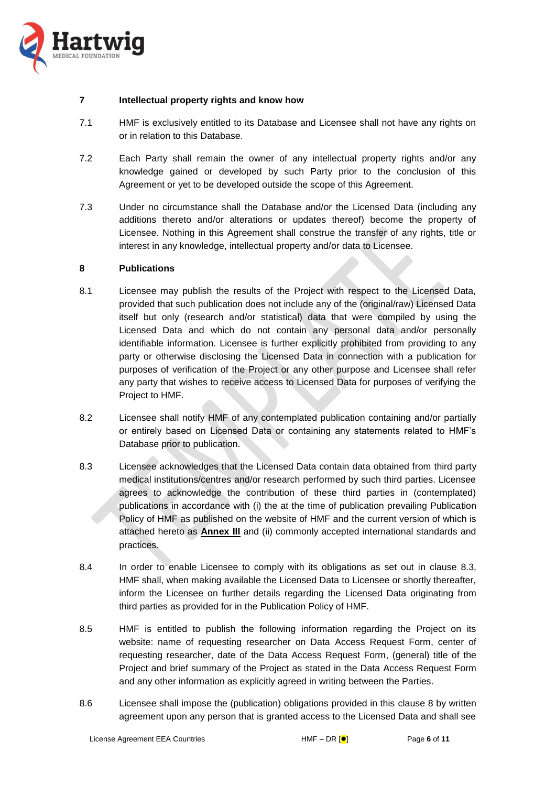

### <span id="page-5-2"></span>**7 Intellectual property rights and know how**

- 7.1 HMF is exclusively entitled to its Database and Licensee shall not have any rights on or in relation to this Database.
- 7.2 Each Party shall remain the owner of any intellectual property rights and/or any knowledge gained or developed by such Party prior to the conclusion of this Agreement or yet to be developed outside the scope of this Agreement.
- 7.3 Under no circumstance shall the Database and/or the Licensed Data (including any additions thereto and/or alterations or updates thereof) become the property of Licensee. Nothing in this Agreement shall construe the transfer of any rights, title or interest in any knowledge, intellectual property and/or data to Licensee.

#### <span id="page-5-1"></span>**8 Publications**

- 8.1 Licensee may publish the results of the Project with respect to the Licensed Data, provided that such publication does not include any of the (original/raw) Licensed Data itself but only (research and/or statistical) data that were compiled by using the Licensed Data and which do not contain any personal data and/or personally identifiable information. Licensee is further explicitly prohibited from providing to any party or otherwise disclosing the Licensed Data in connection with a publication for purposes of verification of the Project or any other purpose and Licensee shall refer any party that wishes to receive access to Licensed Data for purposes of verifying the Project to HMF.
- 8.2 Licensee shall notify HMF of any contemplated publication containing and/or partially or entirely based on Licensed Data or containing any statements related to HMF's Database prior to publication.
- <span id="page-5-0"></span>8.3 Licensee acknowledges that the Licensed Data contain data obtained from third party medical institutions/centres and/or research performed by such third parties. Licensee agrees to acknowledge the contribution of these third parties in (contemplated) publications in accordance with (i) the at the time of publication prevailing Publication Policy of HMF as published on the website of HMF and the current version of which is attached hereto as **Annex III** and (ii) commonly accepted international standards and practices.
- 8.4 In order to enable Licensee to comply with its obligations as set out in clause [8.3,](#page-5-0) HMF shall, when making available the Licensed Data to Licensee or shortly thereafter, inform the Licensee on further details regarding the Licensed Data originating from third parties as provided for in the Publication Policy of HMF.
- 8.5 HMF is entitled to publish the following information regarding the Project on its website: name of requesting researcher on Data Access Request Form, center of requesting researcher, date of the Data Access Request Form, (general) title of the Project and brief summary of the Project as stated in the Data Access Request Form and any other information as explicitly agreed in writing between the Parties.
- 8.6 Licensee shall impose the (publication) obligations provided in this clause [8](#page-5-1) by written agreement upon any person that is granted access to the Licensed Data and shall see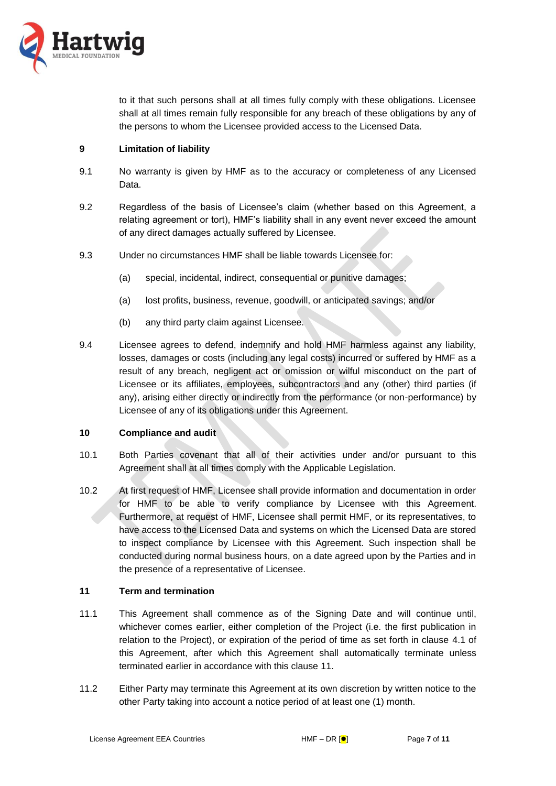

to it that such persons shall at all times fully comply with these obligations. Licensee shall at all times remain fully responsible for any breach of these obligations by any of the persons to whom the Licensee provided access to the Licensed Data.

## **9 Limitation of liability**

- 9.1 No warranty is given by HMF as to the accuracy or completeness of any Licensed Data.
- 9.2 Regardless of the basis of Licensee's claim (whether based on this Agreement, a relating agreement or tort), HMF's liability shall in any event never exceed the amount of any direct damages actually suffered by Licensee.
- 9.3 Under no circumstances HMF shall be liable towards Licensee for:
	- (a) special, incidental, indirect, consequential or punitive damages;
	- (a) lost profits, business, revenue, goodwill, or anticipated savings; and/or
	- (b) any third party claim against Licensee.
- 9.4 Licensee agrees to defend, indemnify and hold HMF harmless against any liability, losses, damages or costs (including any legal costs) incurred or suffered by HMF as a result of any breach, negligent act or omission or wilful misconduct on the part of Licensee or its affiliates, employees, subcontractors and any (other) third parties (if any), arising either directly or indirectly from the performance (or non-performance) by Licensee of any of its obligations under this Agreement.

### **10 Compliance and audit**

- 10.1 Both Parties covenant that all of their activities under and/or pursuant to this Agreement shall at all times comply with the Applicable Legislation.
- 10.2 At first request of HMF, Licensee shall provide information and documentation in order for HMF to be able to verify compliance by Licensee with this Agreement. Furthermore, at request of HMF, Licensee shall permit HMF, or its representatives, to have access to the Licensed Data and systems on which the Licensed Data are stored to inspect compliance by Licensee with this Agreement. Such inspection shall be conducted during normal business hours, on a date agreed upon by the Parties and in the presence of a representative of Licensee.

### <span id="page-6-0"></span>**11 Term and termination**

- 11.1 This Agreement shall commence as of the Signing Date and will continue until, whichever comes earlier, either completion of the Project (i.e. the first publication in relation to the Project), or expiration of the period of time as set forth in clause [4.1](#page-1-1) of this Agreement, after which this Agreement shall automatically terminate unless terminated earlier in accordance with this clause [11.](#page-6-0)
- 11.2 Either Party may terminate this Agreement at its own discretion by written notice to the other Party taking into account a notice period of at least one (1) month.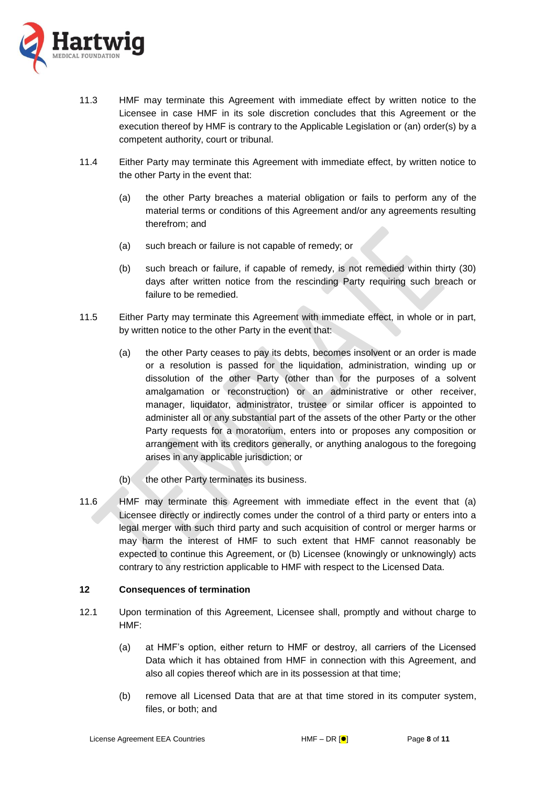

- 11.3 HMF may terminate this Agreement with immediate effect by written notice to the Licensee in case HMF in its sole discretion concludes that this Agreement or the execution thereof by HMF is contrary to the Applicable Legislation or (an) order(s) by a competent authority, court or tribunal.
- 11.4 Either Party may terminate this Agreement with immediate effect, by written notice to the other Party in the event that:
	- (a) the other Party breaches a material obligation or fails to perform any of the material terms or conditions of this Agreement and/or any agreements resulting therefrom; and
	- (a) such breach or failure is not capable of remedy; or
	- (b) such breach or failure, if capable of remedy, is not remedied within thirty (30) days after written notice from the rescinding Party requiring such breach or failure to be remedied.
- 11.5 Either Party may terminate this Agreement with immediate effect, in whole or in part, by written notice to the other Party in the event that:
	- (a) the other Party ceases to pay its debts, becomes insolvent or an order is made or a resolution is passed for the liquidation, administration, winding up or dissolution of the other Party (other than for the purposes of a solvent amalgamation or reconstruction) or an administrative or other receiver, manager, liquidator, administrator, trustee or similar officer is appointed to administer all or any substantial part of the assets of the other Party or the other Party requests for a moratorium, enters into or proposes any composition or arrangement with its creditors generally, or anything analogous to the foregoing arises in any applicable jurisdiction; or
	- (b) the other Party terminates its business.
- 11.6 HMF may terminate this Agreement with immediate effect in the event that (a) Licensee directly or indirectly comes under the control of a third party or enters into a legal merger with such third party and such acquisition of control or merger harms or may harm the interest of HMF to such extent that HMF cannot reasonably be expected to continue this Agreement, or (b) Licensee (knowingly or unknowingly) acts contrary to any restriction applicable to HMF with respect to the Licensed Data.

### **12 Consequences of termination**

- <span id="page-7-0"></span>12.1 Upon termination of this Agreement, Licensee shall, promptly and without charge to HMF:
	- (a) at HMF's option, either return to HMF or destroy, all carriers of the Licensed Data which it has obtained from HMF in connection with this Agreement, and also all copies thereof which are in its possession at that time;
	- (b) remove all Licensed Data that are at that time stored in its computer system, files, or both; and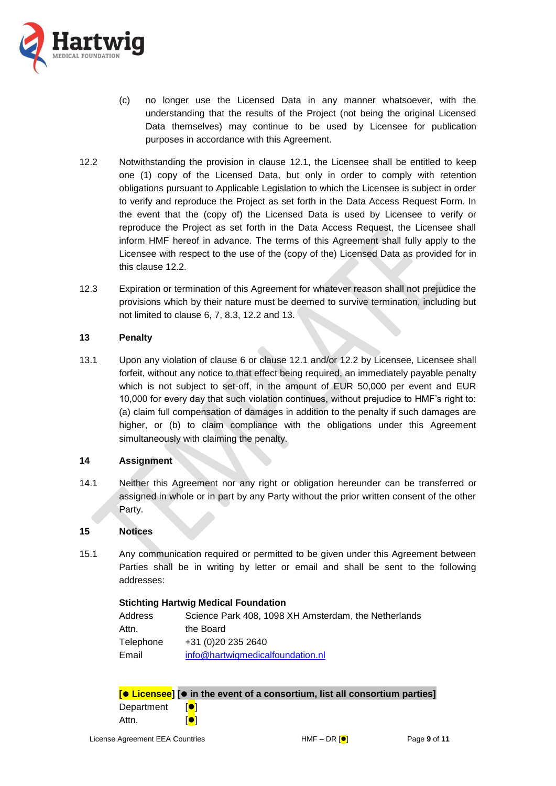

- (c) no longer use the Licensed Data in any manner whatsoever, with the understanding that the results of the Project (not being the original Licensed Data themselves) may continue to be used by Licensee for publication purposes in accordance with this Agreement.
- <span id="page-8-0"></span>12.2 Notwithstanding the provision in clause [12.1,](#page-7-0) the Licensee shall be entitled to keep one (1) copy of the Licensed Data, but only in order to comply with retention obligations pursuant to Applicable Legislation to which the Licensee is subject in order to verify and reproduce the Project as set forth in the Data Access Request Form. In the event that the (copy of) the Licensed Data is used by Licensee to verify or reproduce the Project as set forth in the Data Access Request, the Licensee shall inform HMF hereof in advance. The terms of this Agreement shall fully apply to the Licensee with respect to the use of the (copy of the) Licensed Data as provided for in this clause [12.2.](#page-8-0)
- 12.3 Expiration or termination of this Agreement for whatever reason shall not prejudice the provisions which by their nature must be deemed to survive termination, including but not limited to clause [6,](#page-4-0) [7,](#page-5-2) [8.3,](#page-5-0) [12.2](#page-8-0) and [13.](#page-8-1)

## <span id="page-8-1"></span>**13 Penalty**

13.1 Upon any violation of clause [6](#page-4-0) or clause [12.1](#page-7-0) and/or [12.2](#page-8-0) by Licensee, Licensee shall forfeit, without any notice to that effect being required, an immediately payable penalty which is not subject to set-off, in the amount of EUR 50,000 per event and EUR 10,000 for every day that such violation continues, without prejudice to HMF's right to: (a) claim full compensation of damages in addition to the penalty if such damages are higher, or (b) to claim compliance with the obligations under this Agreement simultaneously with claiming the penalty.

### **14 Assignment**

14.1 Neither this Agreement nor any right or obligation hereunder can be transferred or assigned in whole or in part by any Party without the prior written consent of the other Party.

### **15 Notices**

15.1 Any communication required or permitted to be given under this Agreement between Parties shall be in writing by letter or email and shall be sent to the following addresses:

| <b>Stichting Hartwig Medical Foundation</b> |                                                      |  |  |
|---------------------------------------------|------------------------------------------------------|--|--|
| Address                                     | Science Park 408, 1098 XH Amsterdam, the Netherlands |  |  |
| Attn.                                       | the Board                                            |  |  |
| Telephone                                   | +31 (0)20 235 2640                                   |  |  |
| Email                                       | info@hartwigmedicalfoundation.nl                     |  |  |

|            | $\boxed{\bullet}$ Licensee] $\boxed{\bullet}$ in the event of a consortium, list all consortium parties] |
|------------|----------------------------------------------------------------------------------------------------------|
| Department | <b>TOT</b>                                                                                               |
| Attn.      | IOI                                                                                                      |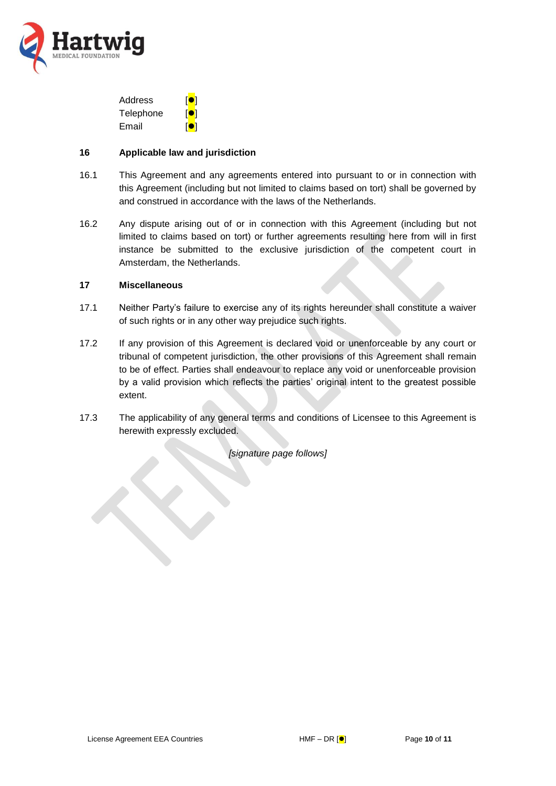

| Address   | <b>101</b>     |
|-----------|----------------|
| Telephone | $\blacksquare$ |
| Email     | <b>101</b>     |

#### **16 Applicable law and jurisdiction**

- 16.1 This Agreement and any agreements entered into pursuant to or in connection with this Agreement (including but not limited to claims based on tort) shall be governed by and construed in accordance with the laws of the Netherlands.
- 16.2 Any dispute arising out of or in connection with this Agreement (including but not limited to claims based on tort) or further agreements resulting here from will in first instance be submitted to the exclusive jurisdiction of the competent court in Amsterdam, the Netherlands.

### **17 Miscellaneous**

- 17.1 Neither Party's failure to exercise any of its rights hereunder shall constitute a waiver of such rights or in any other way prejudice such rights.
- 17.2 If any provision of this Agreement is declared void or unenforceable by any court or tribunal of competent jurisdiction, the other provisions of this Agreement shall remain to be of effect. Parties shall endeavour to replace any void or unenforceable provision by a valid provision which reflects the parties' original intent to the greatest possible extent.
- 17.3 The applicability of any general terms and conditions of Licensee to this Agreement is herewith expressly excluded.

*[signature page follows]*